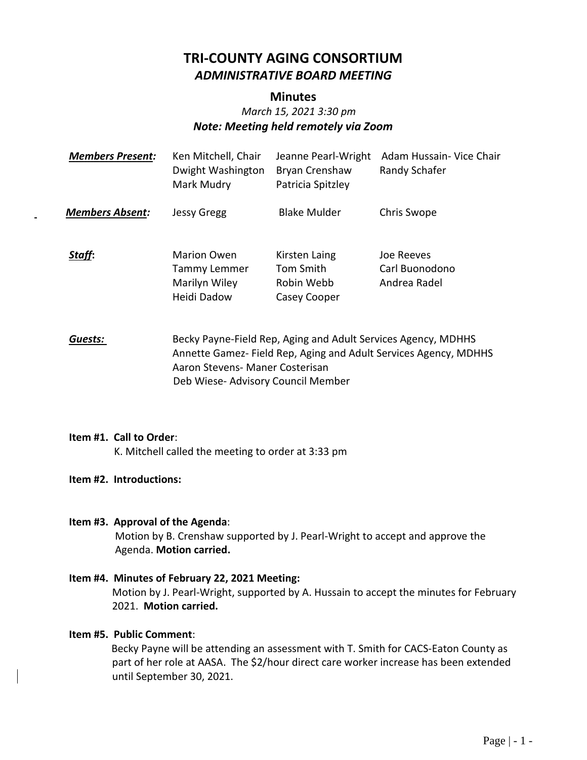# **TRI-COUNTY AGING CONSORTIUM** *ADMINISTRATIVE BOARD MEETING*

## **Minutes**

# *March 15, 2021 3:30 pm Note: Meeting held remotely via Zoom*

| <b>Members Present:</b> | Ken Mitchell, Chair<br>Dwight Washington<br>Mark Mudry                    | Jeanne Pearl-Wright<br><b>Bryan Crenshaw</b><br>Patricia Spitzley | Adam Hussain- Vice Chair<br>Randy Schafer    |
|-------------------------|---------------------------------------------------------------------------|-------------------------------------------------------------------|----------------------------------------------|
| <b>Members Absent:</b>  | <b>Jessy Gregg</b>                                                        | <b>Blake Mulder</b>                                               | Chris Swope                                  |
| Staff:                  | <b>Marion Owen</b><br><b>Tammy Lemmer</b><br>Marilyn Wiley<br>Heidi Dadow | Kirsten Laing<br>Tom Smith<br>Robin Webb<br>Casey Cooper          | Joe Reeves<br>Carl Buonodono<br>Andrea Radel |

*Guests:* Becky Payne-Field Rep, Aging and Adult Services Agency, MDHHS Annette Gamez- Field Rep, Aging and Adult Services Agency, MDHHS Aaron Stevens- Maner Costerisan Deb Wiese- Advisory Council Member

#### **Item #1. Call to Order**:

K. Mitchell called the meeting to order at 3:33 pm

## **Item #2. Introductions:**

#### **Item #3. Approval of the Agenda**:

Motion by B. Crenshaw supported by J. Pearl-Wright to accept and approve the Agenda. **Motion carried.**

**Item #4. Minutes of February 22, 2021 Meeting:** Motion by J. Pearl-Wright, supported by A. Hussain to accept the minutes for February 2021. **Motion carried.**

## **Item #5. Public Comment**:

 Becky Payne will be attending an assessment with T. Smith for CACS-Eaton County as part of her role at AASA. The \$2/hour direct care worker increase has been extended until September 30, 2021.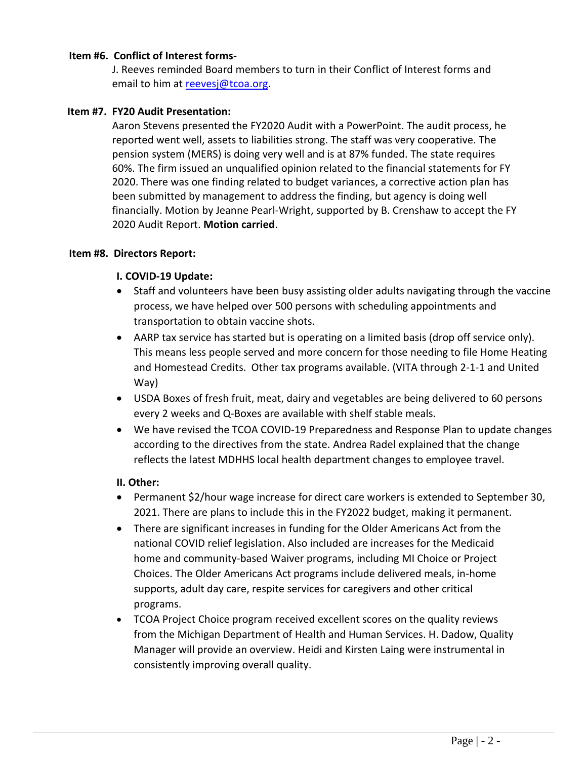#### **Item #6. Conflict of Interest forms-**

J. Reeves reminded Board members to turn in their Conflict of Interest forms and email to him at [reevesj@tcoa.org.](mailto:reevesj@tcoa.org)

#### **Item #7. FY20 Audit Presentation:**

Aaron Stevens presented the FY2020 Audit with a PowerPoint. The audit process, he reported went well, assets to liabilities strong. The staff was very cooperative. The pension system (MERS) is doing very well and is at 87% funded. The state requires 60%. The firm issued an unqualified opinion related to the financial statements for FY 2020. There was one finding related to budget variances, a corrective action plan has been submitted by management to address the finding, but agency is doing well financially. Motion by Jeanne Pearl-Wright, supported by B. Crenshaw to accept the FY 2020 Audit Report. **Motion carried**.

#### **Item #8. Directors Report:**

#### **I. COVID-19 Update:**

- Staff and volunteers have been busy assisting older adults navigating through the vaccine process, we have helped over 500 persons with scheduling appointments and transportation to obtain vaccine shots.
- AARP tax service has started but is operating on a limited basis (drop off service only). This means less people served and more concern for those needing to file Home Heating and Homestead Credits. Other tax programs available. (VITA through 2-1-1 and United Way)
- USDA Boxes of fresh fruit, meat, dairy and vegetables are being delivered to 60 persons every 2 weeks and Q-Boxes are available with shelf stable meals.
- We have revised the TCOA COVID-19 Preparedness and Response Plan to update changes according to the directives from the state. Andrea Radel explained that the change reflects the latest MDHHS local health department changes to employee travel.

#### **II. Other:**

- Permanent \$2/hour wage increase for direct care workers is extended to September 30, 2021. There are plans to include this in the FY2022 budget, making it permanent.
- There are significant increases in funding for the Older Americans Act from the national COVID relief legislation. Also included are increases for the Medicaid home and community-based Waiver programs, including MI Choice or Project Choices. The Older Americans Act programs include delivered meals, in-home supports, adult day care, respite services for caregivers and other critical programs.
- TCOA Project Choice program received excellent scores on the quality reviews from the Michigan Department of Health and Human Services. H. Dadow, Quality Manager will provide an overview. Heidi and Kirsten Laing were instrumental in consistently improving overall quality.